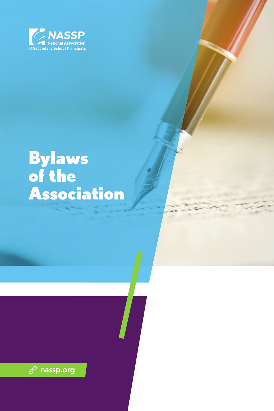

# **Bylaws** of the Association

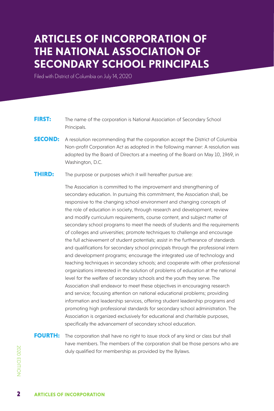## **ARTICLES OF INCORPORATION OF THE NATIONAL ASSOCIATION OF SECONDARY SCHOOL PRINCIPALS**

Filed with District of Columbia on July 14, 2020

- **FIRST:** The name of the corporation is National Association of Secondary School Principals.
- **SECOND:** A resolution recommending that the corporation accept the District of Columbia Non-profit Corporation Act as adopted in the following manner: A resolution was adopted by the Board of Directors at a meeting of the Board on May 10, 1969, in Washington, D.C.
- **THIRD:** The purpose or purposes which it will hereafter pursue are:

The Association is committed to the improvement and strengthening of secondary education. In pursuing this commitment, the Association shall, be responsive to the changing school environment and changing concepts of the role of education in society, through research and development, review and modify curriculum requirements, course content, and subject matter of secondary school programs to meet the needs of students and the requirements of colleges and universities; promote techniques to challenge and encourage the full achievement of student potentials; assist in the furtherance of standards and qualifications for secondary school principals through the professional intern and development programs; encourage the integrated use of technology and teaching techniques in secondary schools; and cooperate with other professional organizations interested in the solution of problems of education at the national level for the welfare of secondary schools and the youth they serve. The Association shall endeavor to meet these objectives in encouraging research and service; focusing attention on national educational problems; providing information and leadership services, offering student leadership programs and promoting high professional standards for secondary school administration. The Association is organized exclusively for educational and charitable purposes, specifically the advancement of secondary school education.

FOURTH: The corporation shall have no right to issue stock of any kind or class but shall have members. The members of the corporation shall be those persons who are duly qualified for membership as provided by the Bylaws.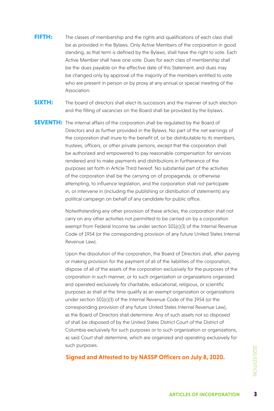FIFTH: The classes of membership and the rights and qualifications of each class shall be as provided in the Bylaws. Only Active Members of the corporation in good standing, as that term is defined by the Bylaws, shall have the right to vote. Each Active Member shall have one vote. Dues for each class of membership shall be the dues payable on the effective date of this Statement, and dues may be changed only by approval of the majority of the members entitled to vote who are present in person or by proxy at any annual or special meeting of the Association.

**SIXTH:** The board of directors shall elect its successors and the manner of such election and the filling of vacancies on the Board shall be provided by the bylaws.

**SEVENTH:** The internal affairs of the corporation shall be regulated by the Board of Directors and as further provided in the Bylaws. No part of the net earnings of the corporation shall inure to the benefit of, or be distributable to its members, trustees, officers, or other private persons, except that the corporation shall be authorized and empowered to pay reasonable compensation for services rendered and to make payments and distributions in furtherance of the purposes set forth in Article Third hereof. No substantial part of the activities of the corporation shall be the carrying on of propaganda, or otherwise attempting, to influence legislation, and the corporation shall not participate in, or intervene in (including the publishing or distribution of statements) any political campaign on behalf of any candidate for public office.

> Notwithstanding any other provision of these articles, the corporation shall not carry on any other activities not permitted to be carried on by a corporation exempt from Federal Income tax under section 501(c)(3) of the Internal Revenue Code of 1954 (or the corresponding provision of any future United States Internal Revenue Law).

> Upon the dissolution of the corporation, the Board of Directors shall, after paying or making provision for the payment of all of the liabilities of the corporation, dispose of all of the assets of the corporation exclusively for the purposes of the corporation in such manner, or to such organization or organizations organized and operated exclusively for charitable, educational, religious, or scientific purposes as shall at the time qualify as an exempt organization or organizations under section 501(c)(3) of the Internal Revenue Code of the 1954 (or the corresponding provision of any future United States Internal Revenue Law), as the Board of Directors shall determine. Any of such assets not so disposed of shall be disposed of by the United States District Court of the District of Columbia exclusively for such purposes or to such organization or organizations, as said Court shall determine, which are organized and operating exclusively for such purposes.

**Signed and Attested to by NASSP Officers on July 8, 2020.**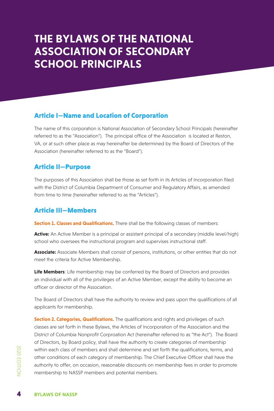## **THE BYLAWS OF THE NATIONAL ASSOCIATION OF SECONDARY SCHOOL PRINCIPALS**

#### Article I—Name and Location of Corporation

The name of this corporation is National Association of Secondary School Principals (hereinafter referred to as the "Association"). The principal office of the Association is located at Reston, VA, or at such other place as may hereinafter be determined by the Board of Directors of the Association (hereinafter referred to as the "Board").

#### Article II—Purpose

The purposes of this Association shall be those as set forth in its Articles of Incorporation filed with the District of Columbia Department of Consumer and Regulatory Affairs, as amended from time to time (hereinafter referred to as the "Articles").

#### Article III—Members

**Section 1. Classes and Qualifications.** There shall be the following classes of members:

**Active:** An Active Member is a principal or assistant principal of a secondary (middle level/high) school who oversees the instructional program and supervises instructional staff.

**Associate:** Associate Members shall consist of persons, institutions, or other entities that do not meet the criteria for Active Membership.

**Life Members**: Life membership may be conferred by the Board of Directors and provides an individual with all of the privileges of an Active Member, except the ability to become an officer or director of the Association.

The Board of Directors shall have the authority to review and pass upon the qualifications of all applicants for membership.

within each class of<br>
other conditions of<br>
authority to offer, or<br>
membership to NAS<br> **4**<br> **BYLAWS OF NASSP Section 2. Categories, Qualifications.** The qualifications and rights and privileges of such classes are set forth in these Bylaws, the Articles of Incorporation of the Association and the District of Columbia Nonprofit Corproation Act (hereinafter referred to as "the Act"). The Board of Directors, by Board policy, shall have the authority to create categories of membership within each class of members and shall determine and set forth the qualifications, terms, and other conditions of each category of membership. The Chief Executive Officer shall have the authority to offer, on occasion, reasonable discounts on membership fees in order to promote membership to NASSP members and potential members.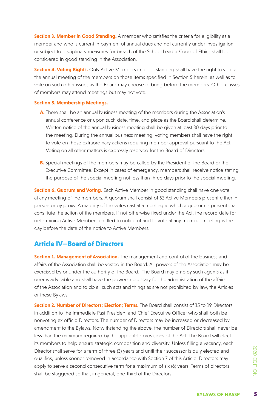**Section 3. Member in Good Standing.** A member who satisfies the criteria for eligibility as a member and who is current in payment of annual dues and not currently under investigation or subject to disciplinary measures for breach of the School Leader Code of Ethics shall be considered in good standing in the Association.

**Section 4. Voting Rights.** Only Active Members in good standing shall have the right to vote at the annual meeting of the members on those items specified in Section 5 herein, as well as to vote on such other issues as the Board may choose to bring before the members. Other classes of members may attend meetings but may not vote.

#### **Section 5. Membership Meetings.**

- **A.** There shall be an annual business meeting of the members during the Association's annual conference or upon such date, time, and place as the Board shall determine. Written notice of the annual business meeting shall be given at least 30 days prior to the meeting. During the annual business meeting, voting members shall have the right to vote on those extraordinary actions requiring member approval pursuant to the Act. Voting on all other matters is expressly reserved for the Board of Directors.
- **B.** Special meetings of the members may be called by the President of the Board or the Executive Committee. Except in cases of emergency, members shall receive notice stating the purpose of the special meeting not less than three days prior to the special meeting.

**Section 6. Quorum and Voting.** Each Active Member in good standing shall have one vote at any meeting of the members. A quorum shall consist of 52 Active Members present either in person or by proxy. A majority of the votes cast at a meeting at which a quorum is present shall constitute the action of the members. If not otherwise fixed under the Act, the record date for determining Active Members entitled to notice of and to vote at any member meeting is the day before the date of the notice to Active Members.

#### Article IV—Board of Directors

**Section 1. Management of Association.** The management and control of the business and affairs of the Association shall be vested in the Board. All powers of the Association may be exercised by or under the authority of the Board. The Board may employ such agents as it deems advisable and shall have the powers necessary for the administration of the affairs of the Association and to do all such acts and things as are not prohibited by law, the Articles or these Bylaws.

**By elected and**<br> **Directors may**<br> **BYLAWS OF NASSP Section 2. Number of Directors; Election; Terms.** The Board shall consist of 15 to 19 Directors in addition to the Immediate Past President and Chief Executive Officer who shall both be nonvoting ex officio Directors. The number of Directors may be increased or decreased by amendment to the Bylaws. Notwithstanding the above, the number of Directors shall never be less than the minimum required by the applicable provisions of the Act. The Board will elect its members to help ensure strategic composition and diversity. Unless filling a vacancy, each Director shall serve for a term of three (3) years and until their successor is duly elected and qualifies, unless sooner removed in accordance with Section 7 of this Article. Directors may apply to serve a second consecutive term for a maximum of six (6) years. Terms of directors shall be staggered so that, in general, one-third of the Directors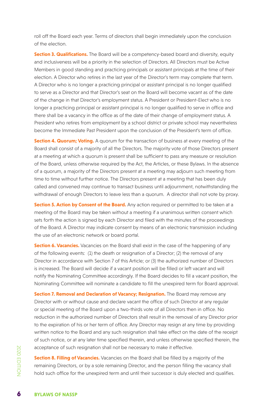roll off the Board each year. Terms of directors shall begin immediately upon the conclusion of the election.

**Section 3. Qualifications.** The Board will be a competency-based board and diversity, equity and inclusiveness will be a priority in the selection of Directors. All Directors must be Active Members in good standing and practicing principals or assistant principals at the time of their election. A Director who retires in the last year of the Director's term may complete that term. A Director who is no longer a practicing principal or assistant principal is no longer qualified to serve as a Director and that Director's seat on the Board will become vacant as of the date of the change in that Director's employment status. A President or President-Elect who is no longer a practicing principal or assistant principal is no longer qualified to serve in office and there shall be a vacancy in the office as of the date of their change of employment status. A President who retires from employment by a school district or private school may nevertheless become the Immediate Past President upon the conclusion of the President's term of office.

**Section 4. Quorum; Voting.** A quorum for the transaction of business at every meeting of the Board shall consist of a majority of all the Directors. The majority vote of those Directors present at a meeting at which a quorum is present shall be sufficient to pass any measure or resolution of the Board, unless otherwise required by the Act, the Articles, or these Bylaws. In the absence of a quorum, a majority of the Directors present at a meeting may adjourn such meeting from time to time without further notice. The Directors present at a meeting that has been duly called and convened may continue to transact business until adjournment, notwithstanding the withdrawal of enough Directors to leave less than a quorum. A director shall not vote by proxy.

**Section 5. Action by Consent of the Board.** Any action required or permitted to be taken at a meeting of the Board may be taken without a meeting if a unanimous written consent which sets forth the action is signed by each Director and filed with the minutes of the proceedings of the Board. A Director may indicate consent by means of an electronic transmission including the use of an electronic network or board portal.

**Section 6. Vacancies.** Vacancies on the Board shall exist in the case of the happening of any of the following events: (1) the death or resignation of a Director; (2) the removal of any Director in accordance with Section 7 of this Article; or (3) the authorized number of Directors is increased. The Board will decide if a vacant position will be filled or left vacant and will notify the Nominating Committee accordingly. If the Board decides to fill a vacant position, the Nominating Committee will nominate a candidate to fill the unexpired term for Board approval.

**Section 7. Removal and Declaration of Vacancy; Resignation.** The Board may remove any Director with or without cause and declare vacant the office of such Director at any regular or special meeting of the Board upon a two-thirds vote of all Directors then in office. No reduction in the authorized number of Directors shall result in the removal of any Director prior to the expiration of his or her term of office. Any Director may resign at any time by providing written notice to the Board and any such resignation shall take effect on the date of the receipt of such notice, or at any later time specified therein, and unless otherwise specified therein, the acceptance of such resignation shall not be necessary to make it effective.

Examples acceptance of such<br> **Section 8. Filling of**<br>
remaining Directors,<br>
hold such office for<br> **6**<br> **BYLAWS OF NASSP Section 8. Filling of Vacancies.** Vacancies on the Board shall be filled by a majority of the remaining Directors, or by a sole remaining Director, and the person filling the vacancy shall hold such office for the unexpired term and until their successor is duly elected and qualifies.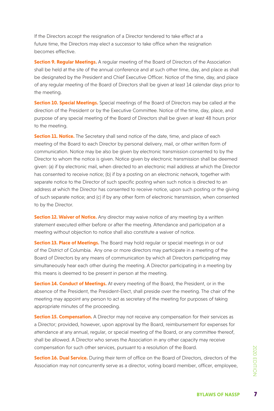If the Directors accept the resignation of a Director tendered to take effect at a future time, the Directors may elect a successor to take office when the resignation becomes effective.

**Section 9. Regular Meetings.** A regular meeting of the Board of Directors of the Association shall be held at the site of the annual conference and at such other time, day, and place as shall be designated by the President and Chief Executive Officer. Notice of the time, day, and place of any regular meeting of the Board of Directors shall be given at least 14 calendar days prior to the meeting.

**Section 10. Special Meetings.** Special meetings of the Board of Directors may be called at the direction of the President or by the Executive Committee. Notice of the time, day, place, and purpose of any special meeting of the Board of Directors shall be given at least 48 hours prior to the meeting.

**Section 11. Notice.** The Secretary shall send notice of the date, time, and place of each meeting of the Board to each Director by personal delivery, mail, or other written form of communication. Notice may be also be given by electronic transmission consented to by the Director to whom the notice is given. Notice given by electronic transmission shall be deemed given: (a) if by electronic mail, when directed to an electronic mail address at which the Director has consented to receive notice; (b) if by a posting on an electronic network, together with separate notice to the Director of such specific posting when such notice is directed to an address at which the Director has consented to receive notice, upon such posting or the giving of such separate notice; and (c) if by any other form of electronic transmission, when consented to by the Director.

**Section 12. Waiver of Notice.** Any director may waive notice of any meeting by a written statement executed either before or after the meeting. Attendance and participation at a meeting without objection to notice shall also constitute a waiver of notice.

**Section 13. Place of Meetings.** The Board may hold regular or special meetings in or out of the District of Columbia. Any one or more directors may participate in a meeting of the Board of Directors by any means of communication by which all Directors participating may simultaneously hear each other during the meeting. A Director participating in a meeting by this means is deemed to be present in person at the meeting.

**Section 14. Conduct of Meetings.** At every meeting of the Board, the President, or in the absence of the President, the President-Elect, shall preside over the meeting. The chair of the meeting may appoint any person to act as secretary of the meeting for purposes of taking appropriate minutes of the proceeding.

**Section 15. Compensation.** A Director may not receive any compensation for their services as a Director; provided, however, upon approval by the Board, reimbursement for expenses for attendance at any annual, regular, or special meeting of the Board, or any committee thereof, shall be allowed. A Director who serves the Association in any other capacity may receive compensation for such other services, pursuant to a resolution of the Board.

**BYLAWS OF NASSPIT CONCRETE:**<br>BYLAWS OF NASSP **Section 16. Dual Service.** During their term of office on the Board of Directors, directors of the Association may not concurrently serve as a director, voting board member, officer, employee,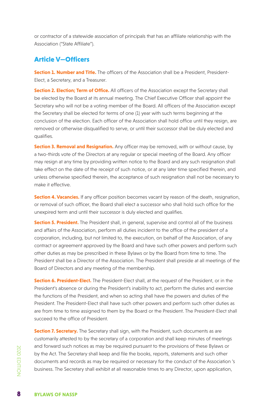or contractor of a statewide association of principals that has an affiliate relationship with the Association ("State Affiliate").

#### Article V—Officers

**Section 1. Number and Title.** The officers of the Association shall be a President. President-Elect, a Secretary, and a Treasurer.

**Section 2. Election; Term of Office.** All officers of the Association except the Secretary shall be elected by the Board at its annual meeting. The Chief Executive Officer shall appoint the Secretary who will not be a voting member of the Board. All officers of the Association except the Secretary shall be elected for terms of one (1) year with such terms beginning at the conclusion of the election. Each officer of the Association shall hold office until they resign, are removed or otherwise disqualified to serve, or until their successor shall be duly elected and qualifies.

**Section 3. Removal and Resignation.** Any officer may be removed, with or without cause, by a two-thirds vote of the Directors at any regular or special meeting of the Board. Any officer may resign at any time by providing written notice to the Board and any such resignation shall take effect on the date of the receipt of such notice, or at any later time specified therein, and unless otherwise specified therein, the acceptance of such resignation shall not be necessary to make it effective.

**Section 4. Vacancies.** If any officer position becomes vacant by reason of the death, resignation, or removal of such officer, the Board shall elect a successor who shall hold such office for the unexpired term and until their successor is duly elected and qualifies.

**Section 5. President.** The President shall, in general, supervise and control all of the business and affairs of the Association, perform all duties incident to the office of the president of a corporation, including, but not limited to, the execution, on behalf of the Association, of any contract or agreement approved by the Board and have such other powers and perform such other duties as may be prescribed in these Bylaws or by the Board from time to time. The President shall be a Director of the Association. The President shall preside at all meetings of the Board of Directors and any meeting of the membership.

**Section 6. President-Elect.** The President-Elect shall, at the request of the President, or in the President's absence or during the President's inability to act, perform the duties and exercise the functions of the President, and when so acting shall have the powers and duties of the President. The President-Elect shall have such other powers and perform such other duties as are from time to time assigned to them by the Board or the President. The President-Elect shall succeed to the office of President.

and forward such no<br>
by the Act. The Secre<br>
documents and reco<br>
business. The Secret<br> **8**<br> **BYLAWS OF NASSP Section 7. Secretary.** The Secretary shall sign, with the President, such documents as are customarily attested to by the secretary of a corporation and shall keep minutes of meetings and forward such notices as may be required pursuant to the provisions of these Bylaws or by the Act. The Secretary shall keep and file the books, reports, statements and such other documents and records as may be required or necessary for the conduct of the Association 's business. The Secretary shall exhibit at all reasonable times to any Director, upon application,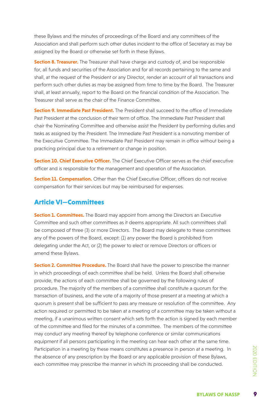these Bylaws and the minutes of proceedings of the Board and any committees of the Association and shall perform such other duties incident to the office of Secretary as may be assigned by the Board or otherwise set forth in these Bylaws.

**Section 8. Treasurer.** The Treasurer shall have charge and custody of, and be responsible for, all funds and securities of the Association and for all records pertaining to the same and shall, at the request of the President or any Director, render an account of all transactions and perform such other duties as may be assigned from time to time by the Board. The Treasurer shall, at least annually, report to the Board on the financial condition of the Association. The Treasurer shall serve as the chair of the Finance Committee.

**Section 9. Immediate Past President.** The President shall succeed to the office of Immediate Past President at the conclusion of their term of office. The Immediate Past President shall chair the Nominating Committee and otherwise assist the President by performing duties and tasks as assigned by the President. The Immediate Past President is a nonvoting member of the Executive Committee. The Immediate Past President may remain in office without being a practicing principal due to a retirement or change in position.

**Section 10. Chief Executive Officer.** The Chief Executive Officer serves as the chief executive officer and is responsible for the management and operation of the Association.

**Section 11. Compensation.** Other than the Chief Executive Officer, officers do not receive compensation for their services but may be reimbursed for expenses.

#### Article VI—Committees

**Section 1. Committees.** The Board may appoint from among the Directors an Executive Committee and such other committees as it deems appropriate. All such committees shall be composed of three (3) or more Directors. The Board may delegate to these committees any of the powers of the Board, except: (1) any power the Board is prohibited from delegating under the Act, or (2) the power to elect or remove Directors or officers or amend these Bylaws.

**BRAIN A MEET SPOND SERVER SPACE SPACE SPACE SPACE SPACE SPACE SPACE SPACE SPACE SPACE SPACE SPACE SPACE SPACE SPACE SPACE SPACE SPACE SPACE SPACE SPACE SPACE SPACE SPACE SPACE SPACE SPACE SPACE SPACE SPACE SPACE SPACE SPA Section 2. Committee Procedure.** The Board shall have the power to prescribe the manner in which proceedings of each committee shall be held. Unless the Board shall otherwise provide, the actions of each committee shall be governed by the following rules of procedure. The majority of the members of a committee shall constitute a quorum for the transaction of business, and the vote of a majority of those present at a meeting at which a quorum is present shall be sufficient to pass any measure or resolution of the committee. Any action required or permitted to be taken at a meeting of a committee may be taken without a meeting, if a unanimous written consent which sets forth the action is signed by each member of the committee and filed for the minutes of a committee. The members of the committee may conduct any meeting thereof by telephone conference or similar communications equipment if all persons participating in the meeting can hear each other at the same time. Participation in a meeting by these means constitutes a presence in person at a meeting. In the absence of any prescription by the Board or any applicable provision of these Bylaws, each committee may prescribe the manner in which its proceeding shall be conducted.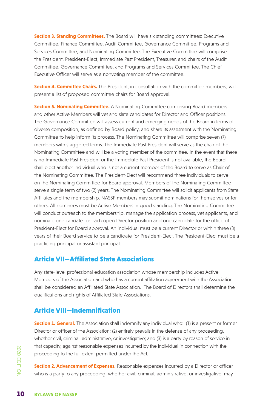**Section 3. Standing Committees.** The Board will have six standing committees: Executive Committee, Finance Committee, Audit Committee, Governance Committee, Programs and Services Committee, and Nominating Committee. The Executive Committee will comprise the President, President-Elect, Immediate Past President, Treasurer, and chairs of the Audit Committee, Governance Committee, and Programs and Services Committee. The Chief Executive Officer will serve as a nonvoting member of the committee.

**Section 4. Committee Chairs.** The President, in consultation with the committee members, will present a list of proposed committee chairs for Board approval.

**Section 5. Nominating Committee.** A Nominating Committee comprising Board members and other Active Members will vet and slate candidates for Director and Officer positions. The Governance Committee will assess current and emerging needs of the Board in terms of diverse composition, as defined by Board policy, and share its assesment with the Nominating Committee to help inform its process. The Nominating Committee will comprise seven (7) members with staggered terms. The Immediate Past President will serve as the chair of the Nominating Committee and will be a voting member of the committee. In the event that there is no Immediate Past President or the Immediate Past President is not available, the Board shall elect another individual who is not a current member of the Board to serve as Chair of the Nominating Committee. The President-Elect will recommend three individuals to serve on the Nominating Committee for Board approval. Members of the Nominating Committee serve a single term of two (2) years. The Nominating Committee will solicit applicants from State Affiliates and the membership. NASSP members may submit nominations for themselves or for others. All nominees must be Active Members in good standing. The Nominating Committee will conduct outreach to the membership, manage the application process, vet applicants, and nominate one candate for each open Director position and one candidate for the office of President-Elect for Board approval. An individual must be a current Director or within three (3) years of their Board service to be a candidate for President-Elect. The President-Elect must be a practicing principal or assistant principal.

#### Article VII—Affiliated State Associations

Any state-level professional education association whose membership includes Active Members of the Association and who has a current affiliation agreement with the Association shall be considered an Affiliated State Association. The Board of Directors shall determine the qualifications and rights of Affiliated State Associations.

### Article VIII—Indemnification

**Section 1. General.** The Association shall indemnify any individual who: (1) is a present or former Director or officer of the Association; (2) entirely prevails in the defense of any proceeding, whether civil, criminal, administrative, or investigative; and (3) is a party by reason of service in that capacity, against reasonable expenses incurred by the individual in connection with the proceeding to the full extent permitted under the Act.

mar capacity, against<br>proceeding to the function<br>**Section 2. Advancer**<br>who is a party to any<br>**10** BYLAWS OF NASSP **Section 2. Advancement of Expenses.** Reasonable expenses incurred by a Director or officer who is a party to any proceeding, whether civil, criminal, administrative, or investigative, may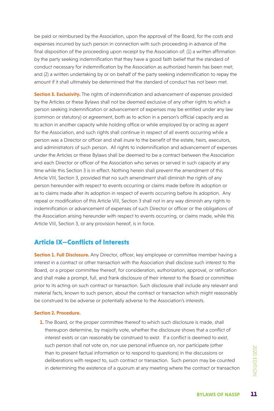be paid or reimbursed by the Association, upon the approval of the Board, for the costs and expenses incurred by such person in connection with such proceeding in advance of the final disposition of the proceeding upon receipt by the Association of: (1) a written affirmation by the party seeking indemnification that they have a good faith belief that the standard of conduct necessary for indemnification by the Association as authorized herein has been met; and (2) a written undertaking by or on behalf of the party seeking indemnification to repay the amount if it shall ultimately be determined that the standard of conduct has not been met.

**Section 3. Exclusivity.** The rights of indemnification and advancement of expenses provided by the Articles or these Bylaws shall not be deemed exclusive of any other rights to which a person seeking indemnification or advancement of expenses may be entitled under any law (common or statutory) or agreement, both as to action in a person's official capacity and as to action in another capacity while holding office or while employed by or acting as agent for the Association, and such rights shall continue in respect of all events occurring while a person was a Director or officer and shall inure to the benefit of the estate, heirs, executors, and administrators of such person. All rights to indemnification and advancement of expenses under the Articles or these Bylaws shall be deemed to be a contract between the Association and each Director or officer of the Association who serves or served in such capacity at any time while this Section 3 is in effect. Nothing herein shall prevent the amendment of this Article VIII, Section 3, provided that no such amendment shall diminish the rights of any person hereunder with respect to events occurring or claims made before its adoption or as to claims made after its adoption in respect of events occurring before its adoption. Any repeal or modification of this Article VIII, Section 3 shall not in any way diminish any rights to indemnification or advancement of expenses of such Director or officer or the obligations of the Association arising hereunder with respect to events occurring, or claims made, while this Article VIII, Section 3, or any provision hereof, is in force.

#### Article IX—Conflicts of Interests

**Section 1. Full Disclosure.** Any Director, officer, key employee or committee member having a interest in a contract or other transaction with the Association shall disclose such interest to the Board, or a proper committee thereof, for consideration, authorization, approval, or ratification and shall make a prompt, full, and frank disclosure of their interest to the Board or committee prior to its acting on such contract or transaction. Such disclosure shall include any relevant and material facts, known to such person, about the contract or transaction which might reasonably be construed to be adverse or potentially adverse to the Association's interests.

#### **Section 2. Procedure.**

**BYLAWS OF NASSP<br>
BYLAWS OF NASSP<br>
BYLAWS OF NASSP 1.** The Board, or the proper committee thereof to which such disclosure is made, shall thereupon determine, by majority vote, whether the disclosure shows that a conflict of interest exists or can reasonably be construed to exist. If a conflict is deemed to exist, such person shall not vote on, nor use personal influence on, nor participate (other than to present factual information or to respond to questions) in the discussions or deliberations with respect to, such contract or transaction. Such person may be counted in determining the existence of a quorum at any meeting where the contract or transaction